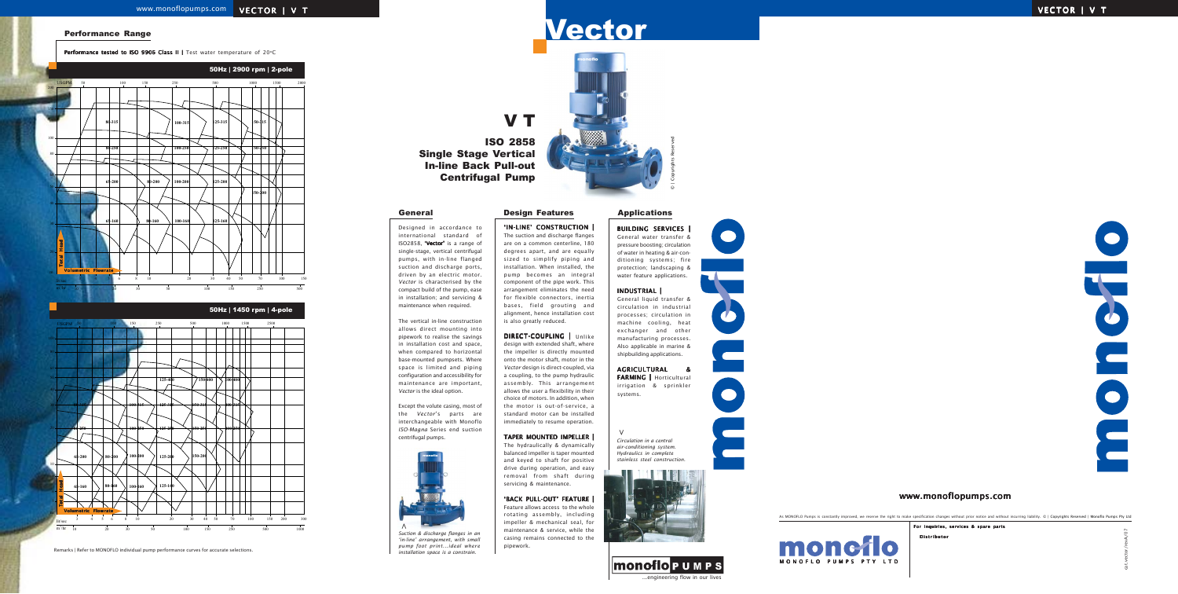#### Performance Range

Performance tested to ISO 9906 Class II | Test water temperature of 20°C

Remarks | Refer to MONOFLO individual pump performance curves for accurate selections.

 $m^3/hr$ 

10 20 30 50 100 150 250 500

As MONOFLO Pumps is constantly improved, we reserve the right to make specification changes without prior notice and without incurring liability. © | Copyrights Reserved | Monoflo Pumps Pty Ltd

Distributor

For inquiries, services & spare parts

cat.vector/revA/07



V T

ISO 2858 Single Stage Vertical In-line Back Pull-out Centrifugal Pump

> *Circulation in a central air-conditioning system. Hydraulics in complete stainless steel construction.*



#### BUILDING SERVICES |

General water transfer & pressure boosting; circulation of water in heating & air-conditioning systems; fire protection; landscaping & water feature applications.

# Vector VECTOR | V T VECTOR | V T

#### INDUSTRIAL |

General liquid transfer & circulation in industrial processes; circulation in machine cooling, heat exchanger and other manufacturing processes. Also applicable in marine & shipbuilding applications.

# AGRICULTURAL &

FARMING | Horticultural irrigation & sprinkler systems.

**>**

















DIRECT-COUPLING | Unlike design with extended shaft, where the impeller is directly mounted onto the motor shaft, motor in the *Vector* design is direct-coupled, via a coupling, to the pump hydraulic assembly. This arrangement allows the user a flexibility in their choice of motors. In addition, when the motor is out-of-service, a standard motor can be installed immediately to resume operation.

Designed in accordance to international standard of ISO2858, 'Vector' is a range of single-stage, vertical centrifugal pumps, with in-line flanged suction and discharge ports, driven by an electric motor. *Vector* is characterised by the compact build of the pump, ease in installation; and servicing & maintenance when required.



The vertical in-line construction allows direct mounting into pipework to realise the savings in installation cost and space, when compared to horizontal base-mounted pumpsets. Where space is limited and piping configuration and accessibility for maintenance are important, *Vector* is the ideal option.

Except the volute casing, most of the *Vector*'s parts are interchangeable with Monoflo *ISO-Magna* Series end suction

centrifugal pumps.

'IN-LINE' CONSTRUCTION | The suction and discharge flanges are on a common centerline, 180 degrees apart, and are equally sized to simplify piping and installation. When installed, the pump becomes an integral component of the pipe work. This arrangement eliminates the need for flexible connectors, inertia bases, field grouting and alignment, hence installation cost is also greatly reduced.

#### TAPER MOUNTED IMPELLER |

The hydraulically & dynamically balanced impeller is taper mounted and keyed to shaft for positive drive during operation, and easy removal from shaft during servicing & maintenance.

### 'BACK PULL-OUT' FEATURE |

Feature allows access to the whole rotating assembly, including impeller & mechanical seal, for maintenance & service, while the casing remains connected to the pipework.



1000

*Suction & discharge flanges in an 'in-line' arrangement, with small pump foot print...ideal where installation space is a constrain.*

**>**

#### General **Design Features Applications**

monoflo

monoflo

## www.monoflopumps.com